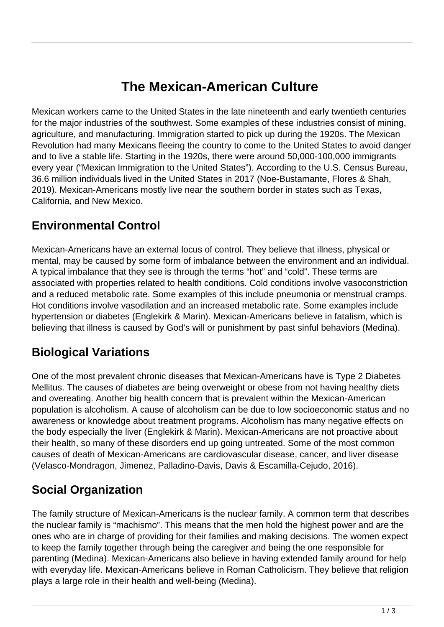# **The Mexican-American Culture**

Mexican workers came to the United States in the late nineteenth and early twentieth centuries for the major industries of the southwest. Some examples of these industries consist of mining, agriculture, and manufacturing. Immigration started to pick up during the 1920s. The Mexican Revolution had many Mexicans fleeing the country to come to the United States to avoid danger and to live a stable life. Starting in the 1920s, there were around 50,000-100,000 immigrants every year ("Mexican Immigration to the United States"). According to the U.S. Census Bureau, 36.6 million individuals lived in the United States in 2017 (Noe-Bustamante, Flores & Shah, 2019). Mexican-Americans mostly live near the southern border in states such as Texas, California, and New Mexico.

#### **Environmental Control**

Mexican-Americans have an external locus of control. They believe that illness, physical or mental, may be caused by some form of imbalance between the environment and an individual. A typical imbalance that they see is through the terms "hot" and "cold". These terms are associated with properties related to health conditions. Cold conditions involve vasoconstriction and a reduced metabolic rate. Some examples of this include pneumonia or menstrual cramps. Hot conditions involve vasodilation and an increased metabolic rate. Some examples include hypertension or diabetes (Englekirk & Marin). Mexican-Americans believe in fatalism, which is believing that illness is caused by God's will or punishment by past sinful behaviors (Medina).

#### **Biological Variations**

One of the most prevalent chronic diseases that Mexican-Americans have is Type 2 Diabetes Mellitus. The causes of diabetes are being overweight or obese from not having healthy diets and overeating. Another big health concern that is prevalent within the Mexican-American population is alcoholism. A cause of alcoholism can be due to low socioeconomic status and no awareness or knowledge about treatment programs. Alcoholism has many negative effects on the body especially the liver (Englekirk & Marin). Mexican-Americans are not proactive about their health, so many of these disorders end up going untreated. Some of the most common causes of death of Mexican-Americans are cardiovascular disease, cancer, and liver disease (Velasco-Mondragon, Jimenez, Palladino-Davis, Davis & Escamilla-Cejudo, 2016).

### **Social Organization**

The family structure of Mexican-Americans is the nuclear family. A common term that describes the nuclear family is "machismo". This means that the men hold the highest power and are the ones who are in charge of providing for their families and making decisions. The women expect to keep the family together through being the caregiver and being the one responsible for parenting (Medina). Mexican-Americans also believe in having extended family around for help with everyday life. Mexican-Americans believe in Roman Catholicism. They believe that religion plays a large role in their health and well-being (Medina).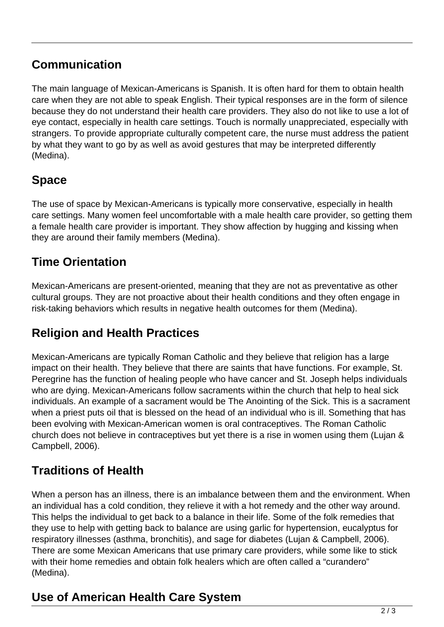### **Communication**

The main language of Mexican-Americans is Spanish. It is often hard for them to obtain health care when they are not able to speak English. Their typical responses are in the form of silence because they do not understand their health care providers. They also do not like to use a lot of eye contact, especially in health care settings. Touch is normally unappreciated, especially with strangers. To provide appropriate culturally competent care, the nurse must address the patient by what they want to go by as well as avoid gestures that may be interpreted differently (Medina).

## **Space**

The use of space by Mexican-Americans is typically more conservative, especially in health care settings. Many women feel uncomfortable with a male health care provider, so getting them a female health care provider is important. They show affection by hugging and kissing when they are around their family members (Medina).

### **Time Orientation**

Mexican-Americans are present-oriented, meaning that they are not as preventative as other cultural groups. They are not proactive about their health conditions and they often engage in risk-taking behaviors which results in negative health outcomes for them (Medina).

### **Religion and Health Practices**

Mexican-Americans are typically Roman Catholic and they believe that religion has a large impact on their health. They believe that there are saints that have functions. For example, St. Peregrine has the function of healing people who have cancer and St. Joseph helps individuals who are dying. Mexican-Americans follow sacraments within the church that help to heal sick individuals. An example of a sacrament would be The Anointing of the Sick. This is a sacrament when a priest puts oil that is blessed on the head of an individual who is ill. Something that has been evolving with Mexican-American women is oral contraceptives. The Roman Catholic church does not believe in contraceptives but yet there is a rise in women using them (Lujan & Campbell, 2006).

### **Traditions of Health**

When a person has an illness, there is an imbalance between them and the environment. When an individual has a cold condition, they relieve it with a hot remedy and the other way around. This helps the individual to get back to a balance in their life. Some of the folk remedies that they use to help with getting back to balance are using garlic for hypertension, eucalyptus for respiratory illnesses (asthma, bronchitis), and sage for diabetes (Lujan & Campbell, 2006). There are some Mexican Americans that use primary care providers, while some like to stick with their home remedies and obtain folk healers which are often called a "curandero" (Medina).

### **Use of American Health Care System**